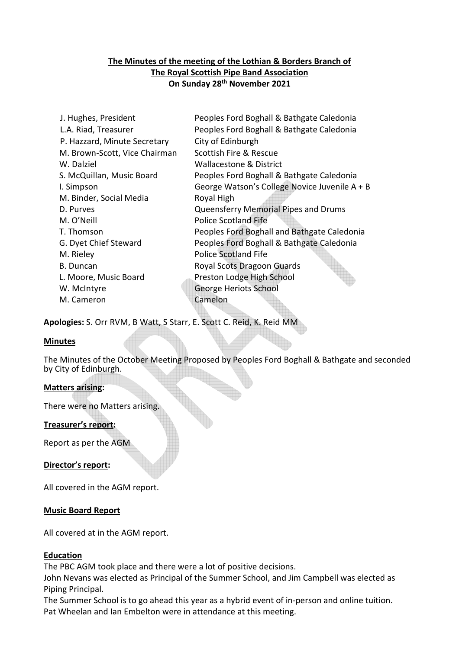# **The Minutes of the meeting of the Lothian & Borders Branch of The Royal Scottish Pipe Band Association On Sunday 28th November 2021**

| J. Hughes, President          | Peoples Ford Boghall & Bathgate Caledonia     |
|-------------------------------|-----------------------------------------------|
| L.A. Riad, Treasurer          | Peoples Ford Boghall & Bathgate Caledonia     |
| P. Hazzard, Minute Secretary  | City of Edinburgh                             |
| M. Brown-Scott, Vice Chairman | Scottish Fire & Rescue                        |
| W. Dalziel                    | Wallacestone & District                       |
| S. McQuillan, Music Board     | Peoples Ford Boghall & Bathgate Caledonia     |
| I. Simpson                    | George Watson's College Novice Juvenile A + B |
| M. Binder, Social Media       | Royal High                                    |
| D. Purves                     | Queensferry Memorial Pipes and Drums          |
| M. O'Neill                    | <b>Police Scotland Fife</b>                   |
| T. Thomson                    | Peoples Ford Boghall and Bathgate Caledonia   |
| G. Dyet Chief Steward         | Peoples Ford Boghall & Bathgate Caledonia     |
| M. Rieley                     | <b>Police Scotland Fife</b>                   |
| <b>B.</b> Duncan              | <b>Royal Scots Dragoon Guards</b>             |
| L. Moore, Music Board         | Preston Lodge High School                     |
| W. McIntyre                   | George Heriots School                         |
| M. Cameron                    | Camelon                                       |
|                               |                                               |

**Apologies:** S. Orr RVM, B Watt, S Starr, E. Scott C. Reid, K. Reid MM

## **Minutes**

The Minutes of the October Meeting Proposed by Peoples Ford Boghall & Bathgate and seconded by City of Edinburgh.

## **Matters arising:**

There were no Matters arising.

## **Treasurer's report:**

Report as per the AGM

**Director's report:** 

All covered in the AGM report.

#### **Music Board Report**

All covered at in the AGM report.

#### **Education**

The PBC AGM took place and there were a lot of positive decisions.

John Nevans was elected as Principal of the Summer School, and Jim Campbell was elected as Piping Principal.

The Summer School is to go ahead this year as a hybrid event of in-person and online tuition. Pat Wheelan and Ian Embelton were in attendance at this meeting.